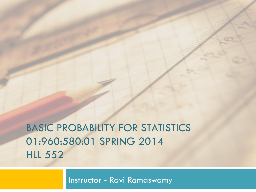# BASIC PROBABILITY FOR STATISTICS 01:960:580:01 SPRING 2014 HLL 552

Instructor - Ravi Ramaswamy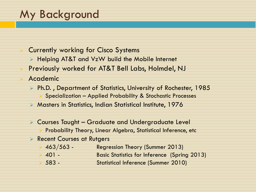# My Background

- **Currently working for Cisco Systems** 
	- $\triangleright$  Helping AT&T and VzW build the Mobile Internet
- Previously worked for AT&T Bell Labs, Holmdel, NJ
- **Academic** 
	- <sup>Ø</sup> Ph.D. , Department of Statistics, University of Rochester, 1985 Ø Specialization – Applied Probability & Stochastic Processes
	- <sup>Ø</sup> Masters in Statistics, Indian Statistical Institute, 1976
	- $\triangleright$  Courses Taught Graduate and Undergraduate Level Probability Theory, Linear Algebra, Statistical Inference, etc.
	- **EXECUTE: Recent Courses at Rutgers** 
		- $\triangleright$  463/563 Regression Theory (Summer 2013)
		- Ø 401 Basic Statistics for Inference (Spring 2013)
		- Ø 583 Statistical Inference (Summer 2010)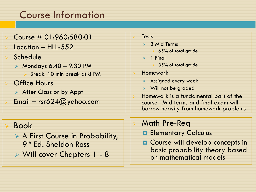## Course Information

### <sup>Ø</sup> Course # 01:960:580:01

Location – HLL-552

### **Schedule**

- $\triangleright$  Mondays 6:40 9:30 PM Ø Break: 10 min break at 8 PM
- **Office Hours**  $\triangleright$  After Class or by Appt
- Email rsr624@yahoo.com

### <sup>Ø</sup> Book

- $\triangleright$  A First Course in Probability, 9th Ed. Sheldon Ross
- <sup>Ø</sup> Will cover Chapters 1 8

#### **Tests**

- $\geq$  3 Mid Terms
	- $\geq 65\%$  of total grade
- $> 1$  Final
	- $\geq$  35% of total grade

### **Homework**

- $\triangleright$  Assigned every week
- $\triangleright$  Will not be graded
- Homework is a fundamental part of the course. Mid terms and final exam will borrow heavily from homework problems

### **Math Pre-Req**

- **E** Elementary Calculus
- $\Box$  Course will develop concepts in basic probability theory based on mathematical models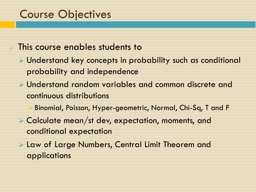# Course Objectives

## This course enables students to

- $\triangleright$  Understand key concepts in probability such as conditional probability and independence
- $\triangleright$  Understand random variables and common discrete and continuous distributions
	- Ø Binomial, Poisson, Hyper-geometric, Normal, Chi-Sq, T and F
- <sup>Ø</sup> Calculate mean/st dev, expectation, moments, and conditional expectation
- <sup>Ø</sup> Law of Large Numbers, Central Limit Theorem and applications